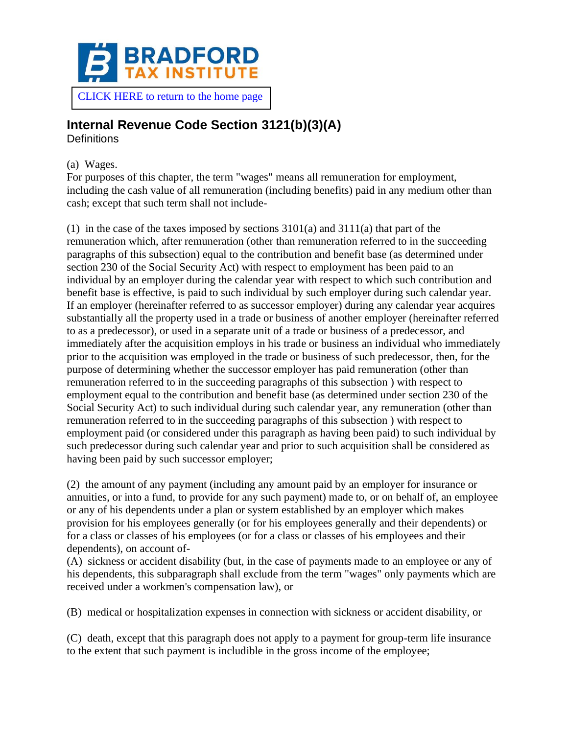

# **Internal Revenue Code Section 3121(b)(3)(A)**

**Definitions** 

#### (a) Wages.

For purposes of this chapter, the term "wages" means all remuneration for employment, including the cash value of all remuneration (including benefits) paid in any medium other than cash; except that such term shall not include-

(1) in the case of the taxes imposed by sections 3101(a) and 3111(a) that part of the remuneration which, after remuneration (other than remuneration referred to in the succeeding paragraphs of this subsection) equal to the contribution and benefit base (as determined under section 230 of the Social Security Act) with respect to employment has been paid to an individual by an employer during the calendar year with respect to which such contribution and benefit base is effective, is paid to such individual by such employer during such calendar year. If an employer (hereinafter referred to as successor employer) during any calendar year acquires substantially all the property used in a trade or business of another employer (hereinafter referred to as a predecessor), or used in a separate unit of a trade or business of a predecessor, and immediately after the acquisition employs in his trade or business an individual who immediately prior to the acquisition was employed in the trade or business of such predecessor, then, for the purpose of determining whether the successor employer has paid remuneration (other than remuneration referred to in the succeeding paragraphs of this subsection ) with respect to employment equal to the contribution and benefit base (as determined under section 230 of the Social Security Act) to such individual during such calendar year, any remuneration (other than remuneration referred to in the succeeding paragraphs of this subsection ) with respect to employment paid (or considered under this paragraph as having been paid) to such individual by such predecessor during such calendar year and prior to such acquisition shall be considered as having been paid by such successor employer;

(2) the amount of any payment (including any amount paid by an employer for insurance or annuities, or into a fund, to provide for any such payment) made to, or on behalf of, an employee or any of his dependents under a plan or system established by an employer which makes provision for his employees generally (or for his employees generally and their dependents) or for a class or classes of his employees (or for a class or classes of his employees and their dependents), on account of-

(A) sickness or accident disability (but, in the case of payments made to an employee or any of his dependents, this subparagraph shall exclude from the term "wages" only payments which are received under a workmen's compensation law), or

(B) medical or hospitalization expenses in connection with sickness or accident disability, or

(C) death, except that this paragraph does not apply to a payment for group-term life insurance to the extent that such payment is includible in the gross income of the employee;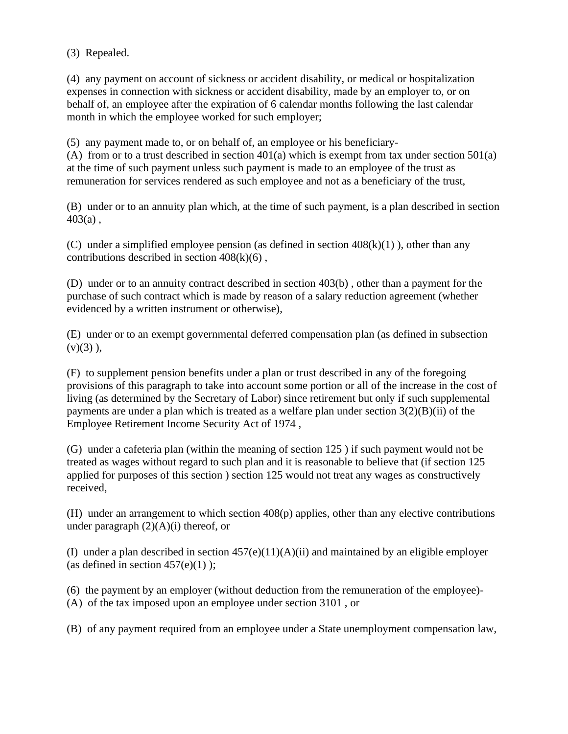(3) Repealed.

(4) any payment on account of sickness or accident disability, or medical or hospitalization expenses in connection with sickness or accident disability, made by an employer to, or on behalf of, an employee after the expiration of 6 calendar months following the last calendar month in which the employee worked for such employer;

(5) any payment made to, or on behalf of, an employee or his beneficiary-

(A) from or to a trust described in section  $401(a)$  which is exempt from tax under section  $501(a)$ at the time of such payment unless such payment is made to an employee of the trust as remuneration for services rendered as such employee and not as a beneficiary of the trust,

(B) under or to an annuity plan which, at the time of such payment, is a plan described in section  $403(a)$ ,

(C) under a simplified employee pension (as defined in section  $408(k)(1)$ ), other than any contributions described in section  $408(k)(6)$ ,

(D) under or to an annuity contract described in section 403(b) , other than a payment for the purchase of such contract which is made by reason of a salary reduction agreement (whether evidenced by a written instrument or otherwise),

(E) under or to an exempt governmental deferred compensation plan (as defined in subsection  $(v)(3)$ ,

(F) to supplement pension benefits under a plan or trust described in any of the foregoing provisions of this paragraph to take into account some portion or all of the increase in the cost of living (as determined by the Secretary of Labor) since retirement but only if such supplemental payments are under a plan which is treated as a welfare plan under section  $3(2)(B)(ii)$  of the Employee Retirement Income Security Act of 1974 ,

(G) under a cafeteria plan (within the meaning of section 125 ) if such payment would not be treated as wages without regard to such plan and it is reasonable to believe that (if section 125 applied for purposes of this section ) section 125 would not treat any wages as constructively received,

(H) under an arrangement to which section 408(p) applies, other than any elective contributions under paragraph  $(2)(A)(i)$  thereof, or

(I) under a plan described in section  $457(e)(11)(A)(ii)$  and maintained by an eligible employer (as defined in section  $457(e)(1)$ );

(6) the payment by an employer (without deduction from the remuneration of the employee)-

(A) of the tax imposed upon an employee under section 3101 , or

(B) of any payment required from an employee under a State unemployment compensation law,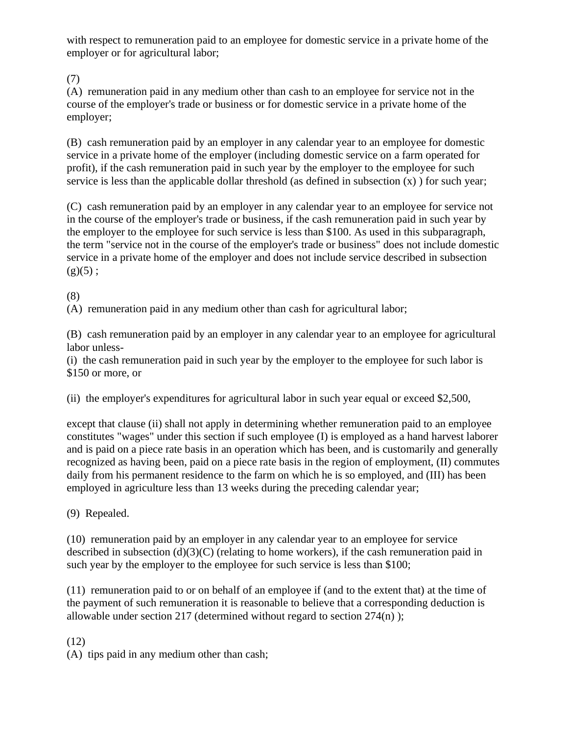with respect to remuneration paid to an employee for domestic service in a private home of the employer or for agricultural labor;

(7)

(A) remuneration paid in any medium other than cash to an employee for service not in the course of the employer's trade or business or for domestic service in a private home of the employer;

(B) cash remuneration paid by an employer in any calendar year to an employee for domestic service in a private home of the employer (including domestic service on a farm operated for profit), if the cash remuneration paid in such year by the employer to the employee for such service is less than the applicable dollar threshold (as defined in subsection  $(x)$ ) for such year;

(C) cash remuneration paid by an employer in any calendar year to an employee for service not in the course of the employer's trade or business, if the cash remuneration paid in such year by the employer to the employee for such service is less than \$100. As used in this subparagraph, the term "service not in the course of the employer's trade or business" does not include domestic service in a private home of the employer and does not include service described in subsection  $(g)(5)$ ;

## (8)

(A) remuneration paid in any medium other than cash for agricultural labor;

(B) cash remuneration paid by an employer in any calendar year to an employee for agricultural labor unless-

(i) the cash remuneration paid in such year by the employer to the employee for such labor is \$150 or more, or

(ii) the employer's expenditures for agricultural labor in such year equal or exceed \$2,500,

except that clause (ii) shall not apply in determining whether remuneration paid to an employee constitutes "wages" under this section if such employee (I) is employed as a hand harvest laborer and is paid on a piece rate basis in an operation which has been, and is customarily and generally recognized as having been, paid on a piece rate basis in the region of employment, (II) commutes daily from his permanent residence to the farm on which he is so employed, and (III) has been employed in agriculture less than 13 weeks during the preceding calendar year;

(9) Repealed.

(10) remuneration paid by an employer in any calendar year to an employee for service described in subsection  $(d)(3)(C)$  (relating to home workers), if the cash remuneration paid in such year by the employer to the employee for such service is less than \$100;

(11) remuneration paid to or on behalf of an employee if (and to the extent that) at the time of the payment of such remuneration it is reasonable to believe that a corresponding deduction is allowable under section 217 (determined without regard to section 274(n) );

## (12)

(A) tips paid in any medium other than cash;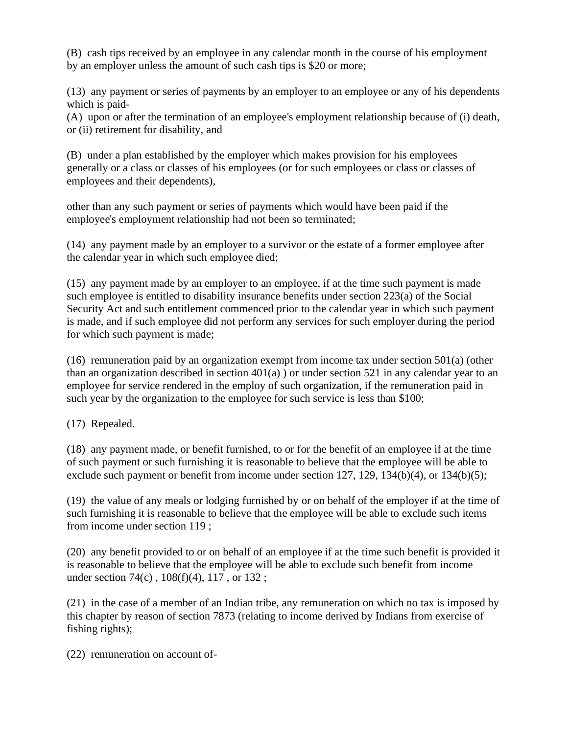(B) cash tips received by an employee in any calendar month in the course of his employment by an employer unless the amount of such cash tips is \$20 or more;

(13) any payment or series of payments by an employer to an employee or any of his dependents which is paid-

(A) upon or after the termination of an employee's employment relationship because of (i) death, or (ii) retirement for disability, and

(B) under a plan established by the employer which makes provision for his employees generally or a class or classes of his employees (or for such employees or class or classes of employees and their dependents),

other than any such payment or series of payments which would have been paid if the employee's employment relationship had not been so terminated;

(14) any payment made by an employer to a survivor or the estate of a former employee after the calendar year in which such employee died;

(15) any payment made by an employer to an employee, if at the time such payment is made such employee is entitled to disability insurance benefits under section 223(a) of the Social Security Act and such entitlement commenced prior to the calendar year in which such payment is made, and if such employee did not perform any services for such employer during the period for which such payment is made;

(16) remuneration paid by an organization exempt from income tax under section  $501(a)$  (other than an organization described in section 401(a) ) or under section 521 in any calendar year to an employee for service rendered in the employ of such organization, if the remuneration paid in such year by the organization to the employee for such service is less than \$100;

(17) Repealed.

(18) any payment made, or benefit furnished, to or for the benefit of an employee if at the time of such payment or such furnishing it is reasonable to believe that the employee will be able to exclude such payment or benefit from income under section 127, 129, 134(b)(4), or 134(b)(5);

(19) the value of any meals or lodging furnished by or on behalf of the employer if at the time of such furnishing it is reasonable to believe that the employee will be able to exclude such items from income under section 119 ;

(20) any benefit provided to or on behalf of an employee if at the time such benefit is provided it is reasonable to believe that the employee will be able to exclude such benefit from income under section 74(c) , 108(f)(4), 117 , or 132 ;

(21) in the case of a member of an Indian tribe, any remuneration on which no tax is imposed by this chapter by reason of section 7873 (relating to income derived by Indians from exercise of fishing rights);

(22) remuneration on account of-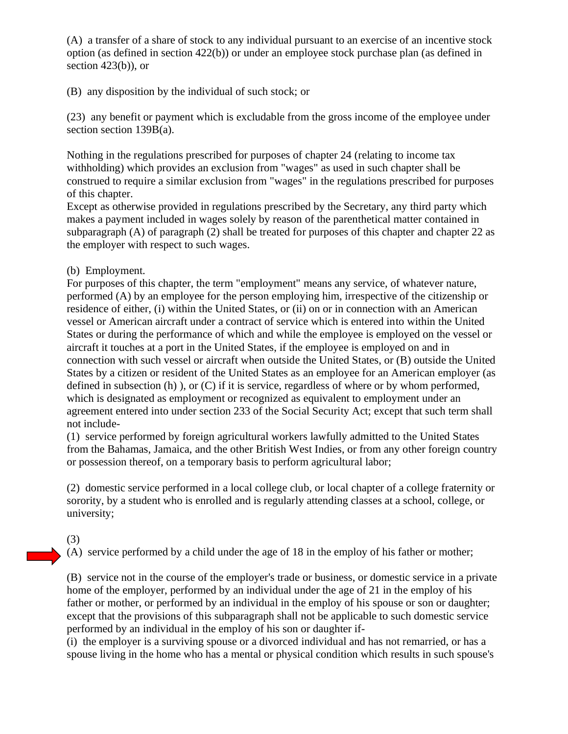(A) a transfer of a share of stock to any individual pursuant to an exercise of an incentive stock option (as defined in section 422(b)) or under an employee stock purchase plan (as defined in section  $423(b)$ , or

(B) any disposition by the individual of such stock; or

(23) any benefit or payment which is excludable from the gross income of the employee under section section 139B(a).

Nothing in the regulations prescribed for purposes of chapter 24 (relating to income tax withholding) which provides an exclusion from "wages" as used in such chapter shall be construed to require a similar exclusion from "wages" in the regulations prescribed for purposes of this chapter.

Except as otherwise provided in regulations prescribed by the Secretary, any third party which makes a payment included in wages solely by reason of the parenthetical matter contained in subparagraph (A) of paragraph (2) shall be treated for purposes of this chapter and chapter 22 as the employer with respect to such wages.

(b) Employment.

For purposes of this chapter, the term "employment" means any service, of whatever nature, performed (A) by an employee for the person employing him, irrespective of the citizenship or residence of either, (i) within the United States, or (ii) on or in connection with an American vessel or American aircraft under a contract of service which is entered into within the United States or during the performance of which and while the employee is employed on the vessel or aircraft it touches at a port in the United States, if the employee is employed on and in connection with such vessel or aircraft when outside the United States, or (B) outside the United States by a citizen or resident of the United States as an employee for an American employer (as defined in subsection (h) ), or (C) if it is service, regardless of where or by whom performed, which is designated as employment or recognized as equivalent to employment under an agreement entered into under section 233 of the Social Security Act; except that such term shall not include-

(1) service performed by foreign agricultural workers lawfully admitted to the United States from the Bahamas, Jamaica, and the other British West Indies, or from any other foreign country or possession thereof, on a temporary basis to perform agricultural labor;

(2) domestic service performed in a local college club, or local chapter of a college fraternity or sorority, by a student who is enrolled and is regularly attending classes at a school, college, or university;

#### (3)

(A) service performed by a child under the age of 18 in the employ of his father or mother;

(B) service not in the course of the employer's trade or business, or domestic service in a private home of the employer, performed by an individual under the age of 21 in the employ of his father or mother, or performed by an individual in the employ of his spouse or son or daughter; except that the provisions of this subparagraph shall not be applicable to such domestic service performed by an individual in the employ of his son or daughter if-

(i) the employer is a surviving spouse or a divorced individual and has not remarried, or has a spouse living in the home who has a mental or physical condition which results in such spouse's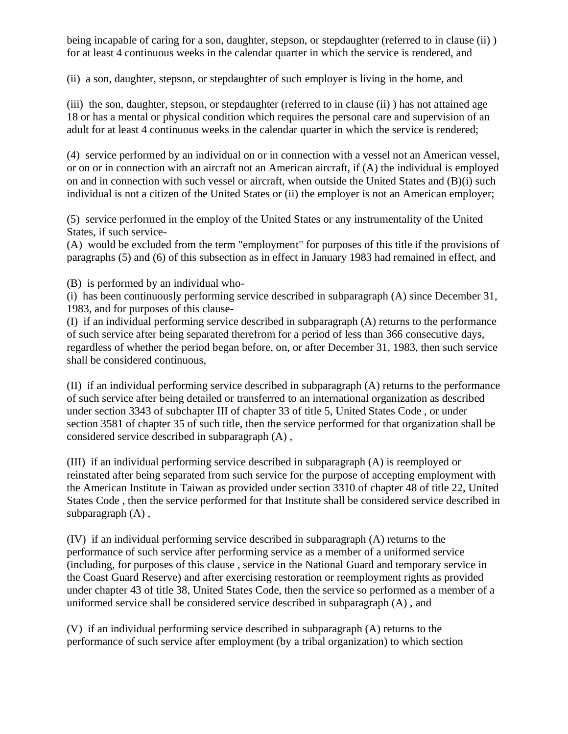being incapable of caring for a son, daughter, stepson, or stepdaughter (referred to in clause (ii) ) for at least 4 continuous weeks in the calendar quarter in which the service is rendered, and

(ii) a son, daughter, stepson, or stepdaughter of such employer is living in the home, and

(iii) the son, daughter, stepson, or stepdaughter (referred to in clause (ii) ) has not attained age 18 or has a mental or physical condition which requires the personal care and supervision of an adult for at least 4 continuous weeks in the calendar quarter in which the service is rendered;

(4) service performed by an individual on or in connection with a vessel not an American vessel, or on or in connection with an aircraft not an American aircraft, if (A) the individual is employed on and in connection with such vessel or aircraft, when outside the United States and (B)(i) such individual is not a citizen of the United States or (ii) the employer is not an American employer;

(5) service performed in the employ of the United States or any instrumentality of the United States, if such service-

(A) would be excluded from the term "employment" for purposes of this title if the provisions of paragraphs (5) and (6) of this subsection as in effect in January 1983 had remained in effect, and

(B) is performed by an individual who-

(i) has been continuously performing service described in subparagraph (A) since December 31, 1983, and for purposes of this clause-

(I) if an individual performing service described in subparagraph (A) returns to the performance of such service after being separated therefrom for a period of less than 366 consecutive days, regardless of whether the period began before, on, or after December 31, 1983, then such service shall be considered continuous,

(II) if an individual performing service described in subparagraph (A) returns to the performance of such service after being detailed or transferred to an international organization as described under section 3343 of subchapter III of chapter 33 of title 5, United States Code , or under section 3581 of chapter 35 of such title, then the service performed for that organization shall be considered service described in subparagraph (A) ,

(III) if an individual performing service described in subparagraph (A) is reemployed or reinstated after being separated from such service for the purpose of accepting employment with the American Institute in Taiwan as provided under section 3310 of chapter 48 of title 22, United States Code , then the service performed for that Institute shall be considered service described in subparagraph (A) ,

(IV) if an individual performing service described in subparagraph (A) returns to the performance of such service after performing service as a member of a uniformed service (including, for purposes of this clause , service in the National Guard and temporary service in the Coast Guard Reserve) and after exercising restoration or reemployment rights as provided under chapter 43 of title 38, United States Code, then the service so performed as a member of a uniformed service shall be considered service described in subparagraph (A) , and

(V) if an individual performing service described in subparagraph (A) returns to the performance of such service after employment (by a tribal organization) to which section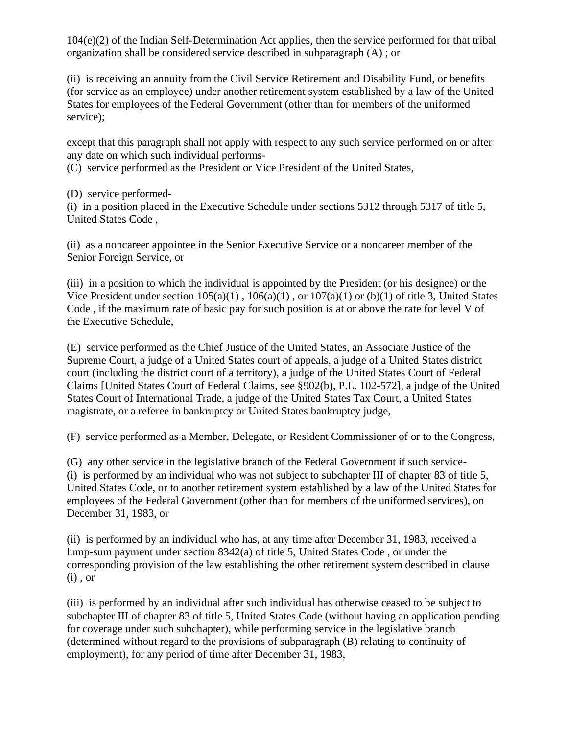104(e)(2) of the Indian Self-Determination Act applies, then the service performed for that tribal organization shall be considered service described in subparagraph (A) ; or

(ii) is receiving an annuity from the Civil Service Retirement and Disability Fund, or benefits (for service as an employee) under another retirement system established by a law of the United States for employees of the Federal Government (other than for members of the uniformed service);

except that this paragraph shall not apply with respect to any such service performed on or after any date on which such individual performs-

(C) service performed as the President or Vice President of the United States,

(D) service performed-

(i) in a position placed in the Executive Schedule under sections 5312 through 5317 of title 5, United States Code ,

(ii) as a noncareer appointee in the Senior Executive Service or a noncareer member of the Senior Foreign Service, or

(iii) in a position to which the individual is appointed by the President (or his designee) or the Vice President under section  $105(a)(1)$ ,  $106(a)(1)$ , or  $107(a)(1)$  or (b)(1) of title 3, United States Code , if the maximum rate of basic pay for such position is at or above the rate for level V of the Executive Schedule,

(E) service performed as the Chief Justice of the United States, an Associate Justice of the Supreme Court, a judge of a United States court of appeals, a judge of a United States district court (including the district court of a territory), a judge of the United States Court of Federal Claims [United States Court of Federal Claims, see §902(b), P.L. 102-572], a judge of the United States Court of International Trade, a judge of the United States Tax Court, a United States magistrate, or a referee in bankruptcy or United States bankruptcy judge,

(F) service performed as a Member, Delegate, or Resident Commissioner of or to the Congress,

(G) any other service in the legislative branch of the Federal Government if such service- (i) is performed by an individual who was not subject to subchapter III of chapter 83 of title 5, United States Code, or to another retirement system established by a law of the United States for employees of the Federal Government (other than for members of the uniformed services), on December 31, 1983, or

(ii) is performed by an individual who has, at any time after December 31, 1983, received a lump-sum payment under section 8342(a) of title 5, United States Code , or under the corresponding provision of the law establishing the other retirement system described in clause (i) , or

(iii) is performed by an individual after such individual has otherwise ceased to be subject to subchapter III of chapter 83 of title 5, United States Code (without having an application pending for coverage under such subchapter), while performing service in the legislative branch (determined without regard to the provisions of subparagraph (B) relating to continuity of employment), for any period of time after December 31, 1983,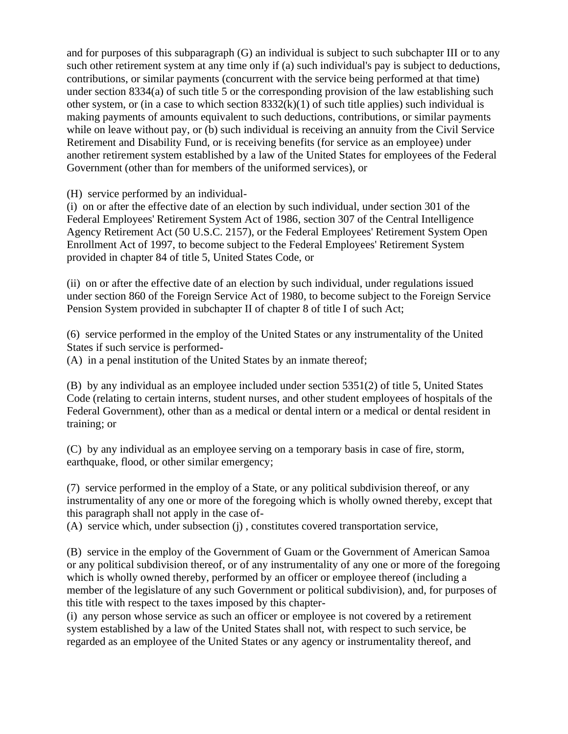and for purposes of this subparagraph (G) an individual is subject to such subchapter III or to any such other retirement system at any time only if (a) such individual's pay is subject to deductions, contributions, or similar payments (concurrent with the service being performed at that time) under section 8334(a) of such title 5 or the corresponding provision of the law establishing such other system, or (in a case to which section  $8332(k)(1)$  of such title applies) such individual is making payments of amounts equivalent to such deductions, contributions, or similar payments while on leave without pay, or (b) such individual is receiving an annuity from the Civil Service Retirement and Disability Fund, or is receiving benefits (for service as an employee) under another retirement system established by a law of the United States for employees of the Federal Government (other than for members of the uniformed services), or

(H) service performed by an individual-

(i) on or after the effective date of an election by such individual, under section 301 of the Federal Employees' Retirement System Act of 1986, section 307 of the Central Intelligence Agency Retirement Act (50 U.S.C. 2157), or the Federal Employees' Retirement System Open Enrollment Act of 1997, to become subject to the Federal Employees' Retirement System provided in chapter 84 of title 5, United States Code, or

(ii) on or after the effective date of an election by such individual, under regulations issued under section 860 of the Foreign Service Act of 1980, to become subject to the Foreign Service Pension System provided in subchapter II of chapter 8 of title I of such Act;

(6) service performed in the employ of the United States or any instrumentality of the United States if such service is performed-

(A) in a penal institution of the United States by an inmate thereof;

(B) by any individual as an employee included under section 5351(2) of title 5, United States Code (relating to certain interns, student nurses, and other student employees of hospitals of the Federal Government), other than as a medical or dental intern or a medical or dental resident in training; or

(C) by any individual as an employee serving on a temporary basis in case of fire, storm, earthquake, flood, or other similar emergency;

(7) service performed in the employ of a State, or any political subdivision thereof, or any instrumentality of any one or more of the foregoing which is wholly owned thereby, except that this paragraph shall not apply in the case of-

(A) service which, under subsection (j) , constitutes covered transportation service,

(B) service in the employ of the Government of Guam or the Government of American Samoa or any political subdivision thereof, or of any instrumentality of any one or more of the foregoing which is wholly owned thereby, performed by an officer or employee thereof (including a member of the legislature of any such Government or political subdivision), and, for purposes of this title with respect to the taxes imposed by this chapter-

(i) any person whose service as such an officer or employee is not covered by a retirement system established by a law of the United States shall not, with respect to such service, be regarded as an employee of the United States or any agency or instrumentality thereof, and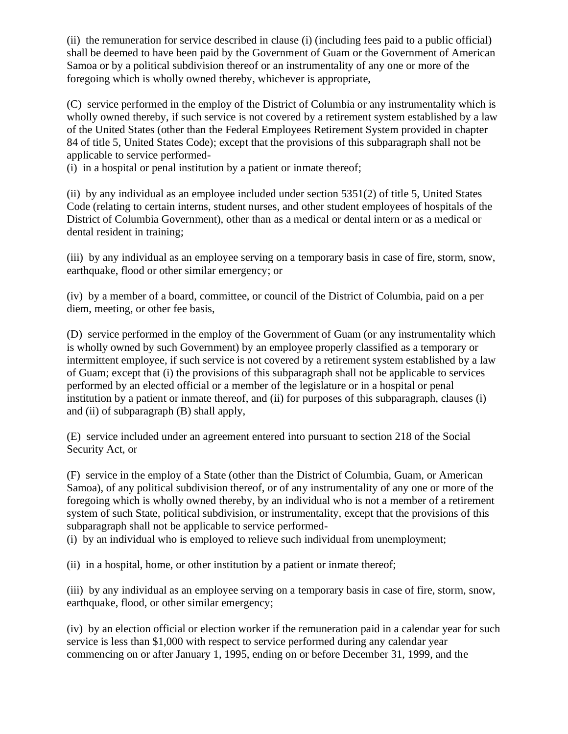(ii) the remuneration for service described in clause (i) (including fees paid to a public official) shall be deemed to have been paid by the Government of Guam or the Government of American Samoa or by a political subdivision thereof or an instrumentality of any one or more of the foregoing which is wholly owned thereby, whichever is appropriate,

(C) service performed in the employ of the District of Columbia or any instrumentality which is wholly owned thereby, if such service is not covered by a retirement system established by a law of the United States (other than the Federal Employees Retirement System provided in chapter 84 of title 5, United States Code); except that the provisions of this subparagraph shall not be applicable to service performed-

(i) in a hospital or penal institution by a patient or inmate thereof;

(ii) by any individual as an employee included under section 5351(2) of title 5, United States Code (relating to certain interns, student nurses, and other student employees of hospitals of the District of Columbia Government), other than as a medical or dental intern or as a medical or dental resident in training;

(iii) by any individual as an employee serving on a temporary basis in case of fire, storm, snow, earthquake, flood or other similar emergency; or

(iv) by a member of a board, committee, or council of the District of Columbia, paid on a per diem, meeting, or other fee basis,

(D) service performed in the employ of the Government of Guam (or any instrumentality which is wholly owned by such Government) by an employee properly classified as a temporary or intermittent employee, if such service is not covered by a retirement system established by a law of Guam; except that (i) the provisions of this subparagraph shall not be applicable to services performed by an elected official or a member of the legislature or in a hospital or penal institution by a patient or inmate thereof, and (ii) for purposes of this subparagraph, clauses (i) and (ii) of subparagraph (B) shall apply,

(E) service included under an agreement entered into pursuant to section 218 of the Social Security Act, or

(F) service in the employ of a State (other than the District of Columbia, Guam, or American Samoa), of any political subdivision thereof, or of any instrumentality of any one or more of the foregoing which is wholly owned thereby, by an individual who is not a member of a retirement system of such State, political subdivision, or instrumentality, except that the provisions of this subparagraph shall not be applicable to service performed-

(i) by an individual who is employed to relieve such individual from unemployment;

(ii) in a hospital, home, or other institution by a patient or inmate thereof;

(iii) by any individual as an employee serving on a temporary basis in case of fire, storm, snow, earthquake, flood, or other similar emergency;

(iv) by an election official or election worker if the remuneration paid in a calendar year for such service is less than \$1,000 with respect to service performed during any calendar year commencing on or after January 1, 1995, ending on or before December 31, 1999, and the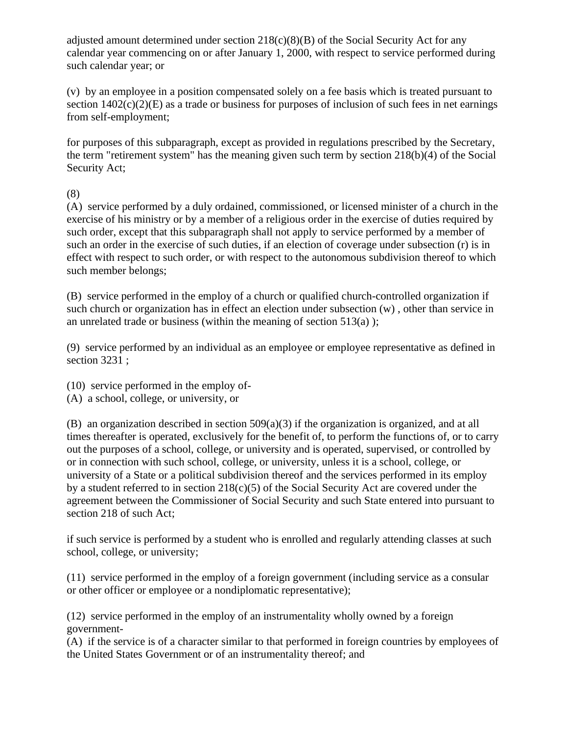adjusted amount determined under section  $218(c)(8)(B)$  of the Social Security Act for any calendar year commencing on or after January 1, 2000, with respect to service performed during such calendar year; or

(v) by an employee in a position compensated solely on a fee basis which is treated pursuant to section  $1402(c)(2)(E)$  as a trade or business for purposes of inclusion of such fees in net earnings from self-employment;

for purposes of this subparagraph, except as provided in regulations prescribed by the Secretary, the term "retirement system" has the meaning given such term by section 218(b)(4) of the Social Security Act;

(8)

(A) service performed by a duly ordained, commissioned, or licensed minister of a church in the exercise of his ministry or by a member of a religious order in the exercise of duties required by such order, except that this subparagraph shall not apply to service performed by a member of such an order in the exercise of such duties, if an election of coverage under subsection (r) is in effect with respect to such order, or with respect to the autonomous subdivision thereof to which such member belongs;

(B) service performed in the employ of a church or qualified church-controlled organization if such church or organization has in effect an election under subsection (w) , other than service in an unrelated trade or business (within the meaning of section  $513(a)$ );

(9) service performed by an individual as an employee or employee representative as defined in section 3231 ;

(10) service performed in the employ of-

(A) a school, college, or university, or

(B) an organization described in section 509(a)(3) if the organization is organized, and at all times thereafter is operated, exclusively for the benefit of, to perform the functions of, or to carry out the purposes of a school, college, or university and is operated, supervised, or controlled by or in connection with such school, college, or university, unless it is a school, college, or university of a State or a political subdivision thereof and the services performed in its employ by a student referred to in section  $218(c)(5)$  of the Social Security Act are covered under the agreement between the Commissioner of Social Security and such State entered into pursuant to section 218 of such Act;

if such service is performed by a student who is enrolled and regularly attending classes at such school, college, or university;

(11) service performed in the employ of a foreign government (including service as a consular or other officer or employee or a nondiplomatic representative);

(12) service performed in the employ of an instrumentality wholly owned by a foreign government-

(A) if the service is of a character similar to that performed in foreign countries by employees of the United States Government or of an instrumentality thereof; and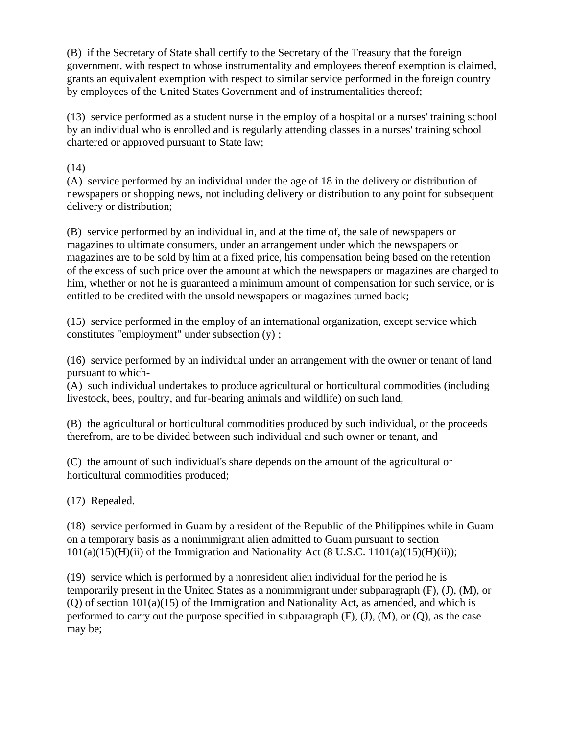(B) if the Secretary of State shall certify to the Secretary of the Treasury that the foreign government, with respect to whose instrumentality and employees thereof exemption is claimed, grants an equivalent exemption with respect to similar service performed in the foreign country by employees of the United States Government and of instrumentalities thereof;

(13) service performed as a student nurse in the employ of a hospital or a nurses' training school by an individual who is enrolled and is regularly attending classes in a nurses' training school chartered or approved pursuant to State law;

(14)

(A) service performed by an individual under the age of 18 in the delivery or distribution of newspapers or shopping news, not including delivery or distribution to any point for subsequent delivery or distribution;

(B) service performed by an individual in, and at the time of, the sale of newspapers or magazines to ultimate consumers, under an arrangement under which the newspapers or magazines are to be sold by him at a fixed price, his compensation being based on the retention of the excess of such price over the amount at which the newspapers or magazines are charged to him, whether or not he is guaranteed a minimum amount of compensation for such service, or is entitled to be credited with the unsold newspapers or magazines turned back;

(15) service performed in the employ of an international organization, except service which constitutes "employment" under subsection (y) ;

(16) service performed by an individual under an arrangement with the owner or tenant of land pursuant to which-

(A) such individual undertakes to produce agricultural or horticultural commodities (including livestock, bees, poultry, and fur-bearing animals and wildlife) on such land,

(B) the agricultural or horticultural commodities produced by such individual, or the proceeds therefrom, are to be divided between such individual and such owner or tenant, and

(C) the amount of such individual's share depends on the amount of the agricultural or horticultural commodities produced;

(17) Repealed.

(18) service performed in Guam by a resident of the Republic of the Philippines while in Guam on a temporary basis as a nonimmigrant alien admitted to Guam pursuant to section  $101(a)(15)(H)(ii)$  of the Immigration and Nationality Act (8 U.S.C. 1101(a)(15)(H)(ii));

(19) service which is performed by a nonresident alien individual for the period he is temporarily present in the United States as a nonimmigrant under subparagraph (F), (J), (M), or (Q) of section 101(a)(15) of the Immigration and Nationality Act, as amended, and which is performed to carry out the purpose specified in subparagraph  $(F)$ ,  $(J)$ ,  $(M)$ , or  $(Q)$ , as the case may be;